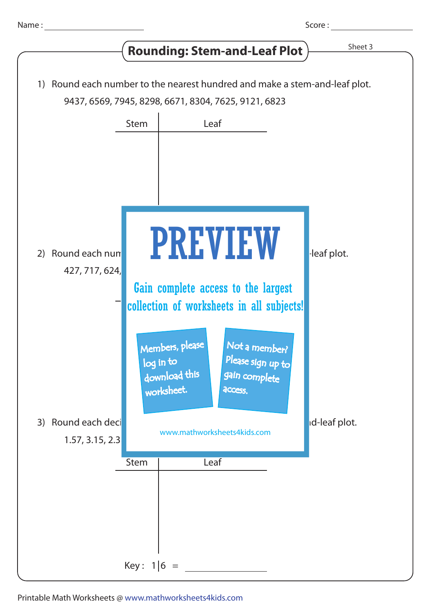